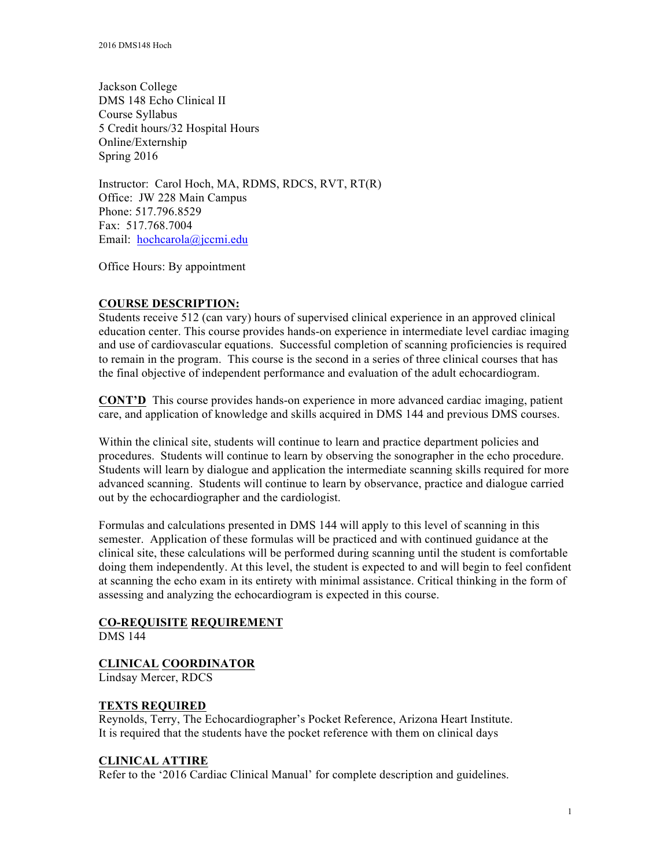Jackson College DMS 148 Echo Clinical II Course Syllabus 5 Credit hours/32 Hospital Hours Online/Externship Spring 2016

Instructor: Carol Hoch, MA, RDMS, RDCS, RVT, RT(R) Office: JW 228 Main Campus Phone: 517.796.8529 Fax: 517.768.7004 Email: hochcarola@jccmi.edu

Office Hours: By appointment

#### **COURSE DESCRIPTION:**

Students receive 512 (can vary) hours of supervised clinical experience in an approved clinical education center. This course provides hands-on experience in intermediate level cardiac imaging and use of cardiovascular equations. Successful completion of scanning proficiencies is required to remain in the program. This course is the second in a series of three clinical courses that has the final objective of independent performance and evaluation of the adult echocardiogram.

**CONT'D** This course provides hands-on experience in more advanced cardiac imaging, patient care, and application of knowledge and skills acquired in DMS 144 and previous DMS courses.

Within the clinical site, students will continue to learn and practice department policies and procedures. Students will continue to learn by observing the sonographer in the echo procedure. Students will learn by dialogue and application the intermediate scanning skills required for more advanced scanning. Students will continue to learn by observance, practice and dialogue carried out by the echocardiographer and the cardiologist.

Formulas and calculations presented in DMS 144 will apply to this level of scanning in this semester. Application of these formulas will be practiced and with continued guidance at the clinical site, these calculations will be performed during scanning until the student is comfortable doing them independently. At this level, the student is expected to and will begin to feel confident at scanning the echo exam in its entirety with minimal assistance. Critical thinking in the form of assessing and analyzing the echocardiogram is expected in this course.

### **CO-REQUISITE REQUIREMENT**

DMS 144

#### **CLINICAL COORDINATOR**

Lindsay Mercer, RDCS

#### **TEXTS REQUIRED**

Reynolds, Terry, The Echocardiographer's Pocket Reference, Arizona Heart Institute. It is required that the students have the pocket reference with them on clinical days

#### **CLINICAL ATTIRE**

Refer to the '2016 Cardiac Clinical Manual' for complete description and guidelines.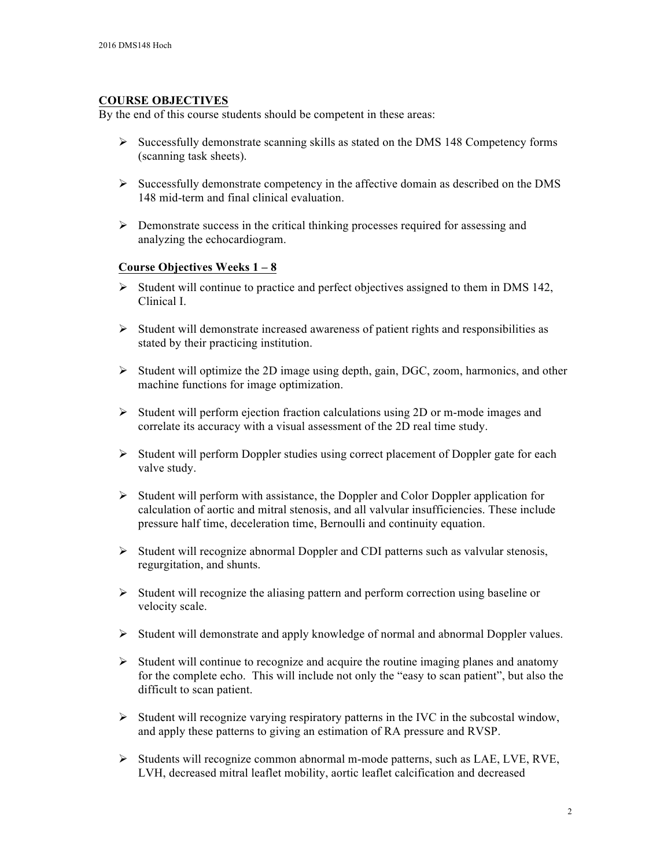#### **COURSE OBJECTIVES**

By the end of this course students should be competent in these areas:

- $\triangleright$  Successfully demonstrate scanning skills as stated on the DMS 148 Competency forms (scanning task sheets).
- $\triangleright$  Successfully demonstrate competency in the affective domain as described on the DMS 148 mid-term and final clinical evaluation.
- $\triangleright$  Demonstrate success in the critical thinking processes required for assessing and analyzing the echocardiogram.

#### **Course Objectives Weeks 1 – 8**

- $\triangleright$  Student will continue to practice and perfect objectives assigned to them in DMS 142, Clinical I.
- $\triangleright$  Student will demonstrate increased awareness of patient rights and responsibilities as stated by their practicing institution.
- $\triangleright$  Student will optimize the 2D image using depth, gain, DGC, zoom, harmonics, and other machine functions for image optimization.
- $\triangleright$  Student will perform ejection fraction calculations using 2D or m-mode images and correlate its accuracy with a visual assessment of the 2D real time study.
- $\triangleright$  Student will perform Doppler studies using correct placement of Doppler gate for each valve study.
- $\triangleright$  Student will perform with assistance, the Doppler and Color Doppler application for calculation of aortic and mitral stenosis, and all valvular insufficiencies. These include pressure half time, deceleration time, Bernoulli and continuity equation.
- $\triangleright$  Student will recognize abnormal Doppler and CDI patterns such as valvular stenosis, regurgitation, and shunts.
- $\triangleright$  Student will recognize the aliasing pattern and perform correction using baseline or velocity scale.
- $\triangleright$  Student will demonstrate and apply knowledge of normal and abnormal Doppler values.
- $\triangleright$  Student will continue to recognize and acquire the routine imaging planes and anatomy for the complete echo. This will include not only the "easy to scan patient", but also the difficult to scan patient.
- $\triangleright$  Student will recognize varying respiratory patterns in the IVC in the subcostal window, and apply these patterns to giving an estimation of RA pressure and RVSP.
- Ø Students will recognize common abnormal m-mode patterns, such as LAE, LVE, RVE, LVH, decreased mitral leaflet mobility, aortic leaflet calcification and decreased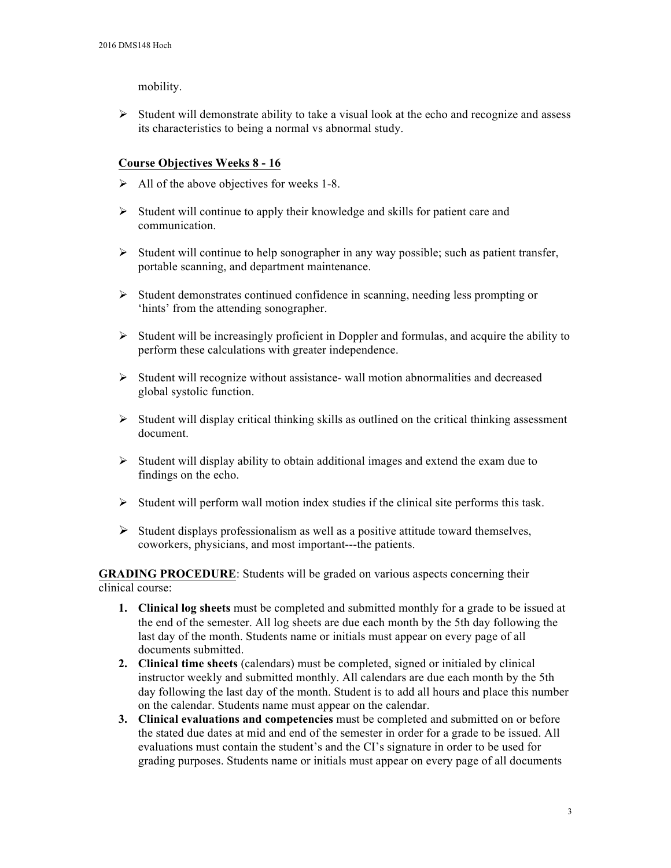mobility.

 $\triangleright$  Student will demonstrate ability to take a visual look at the echo and recognize and assess its characteristics to being a normal vs abnormal study.

#### **Course Objectives Weeks 8 - 16**

- $\triangleright$  All of the above objectives for weeks 1-8.
- $\triangleright$  Student will continue to apply their knowledge and skills for patient care and communication.
- $\triangleright$  Student will continue to help sonographer in any way possible; such as patient transfer, portable scanning, and department maintenance.
- $\triangleright$  Student demonstrates continued confidence in scanning, needing less prompting or 'hints' from the attending sonographer.
- $\triangleright$  Student will be increasingly proficient in Doppler and formulas, and acquire the ability to perform these calculations with greater independence.
- $\triangleright$  Student will recognize without assistance- wall motion abnormalities and decreased global systolic function.
- $\triangleright$  Student will display critical thinking skills as outlined on the critical thinking assessment document.
- $\triangleright$  Student will display ability to obtain additional images and extend the exam due to findings on the echo.
- $\triangleright$  Student will perform wall motion index studies if the clinical site performs this task.
- $\triangleright$  Student displays professionalism as well as a positive attitude toward themselves, coworkers, physicians, and most important---the patients.

**GRADING PROCEDURE**: Students will be graded on various aspects concerning their clinical course:

- **1. Clinical log sheets** must be completed and submitted monthly for a grade to be issued at the end of the semester. All log sheets are due each month by the 5th day following the last day of the month. Students name or initials must appear on every page of all documents submitted.
- **2. Clinical time sheets** (calendars) must be completed, signed or initialed by clinical instructor weekly and submitted monthly. All calendars are due each month by the 5th day following the last day of the month. Student is to add all hours and place this number on the calendar. Students name must appear on the calendar.
- **3. Clinical evaluations and competencies** must be completed and submitted on or before the stated due dates at mid and end of the semester in order for a grade to be issued. All evaluations must contain the student's and the CI's signature in order to be used for grading purposes. Students name or initials must appear on every page of all documents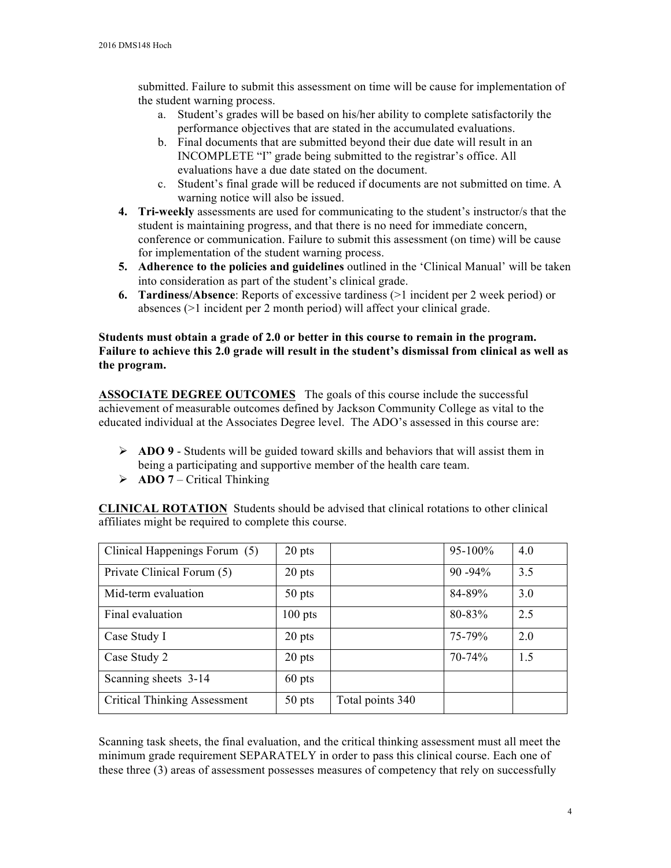submitted. Failure to submit this assessment on time will be cause for implementation of the student warning process.

- a. Student's grades will be based on his/her ability to complete satisfactorily the performance objectives that are stated in the accumulated evaluations.
- b. Final documents that are submitted beyond their due date will result in an INCOMPLETE "I" grade being submitted to the registrar's office. All evaluations have a due date stated on the document.
- c. Student's final grade will be reduced if documents are not submitted on time. A warning notice will also be issued.
- **4. Tri-weekly** assessments are used for communicating to the student's instructor/s that the student is maintaining progress, and that there is no need for immediate concern, conference or communication. Failure to submit this assessment (on time) will be cause for implementation of the student warning process.
- **5. Adherence to the policies and guidelines** outlined in the 'Clinical Manual' will be taken into consideration as part of the student's clinical grade.
- **6. Tardiness/Absence**: Reports of excessive tardiness (>1 incident per 2 week period) or absences (>1 incident per 2 month period) will affect your clinical grade.

**Students must obtain a grade of 2.0 or better in this course to remain in the program. Failure to achieve this 2.0 grade will result in the student's dismissal from clinical as well as the program.** 

**ASSOCIATE DEGREE OUTCOMES** The goals of this course include the successful achievement of measurable outcomes defined by Jackson Community College as vital to the educated individual at the Associates Degree level. The ADO's assessed in this course are:

- $\triangleright$  **ADO 9** Students will be guided toward skills and behaviors that will assist them in being a participating and supportive member of the health care team.
- $\triangleright$  **ADO 7** Critical Thinking

**CLINICAL ROTATION** Students should be advised that clinical rotations to other clinical affiliates might be required to complete this course.

| Clinical Happenings Forum (5)       | 20 pts    |                  | 95-100%     | 4.0 |
|-------------------------------------|-----------|------------------|-------------|-----|
| Private Clinical Forum (5)          | 20 pts    |                  | $90 - 94\%$ | 3.5 |
| Mid-term evaluation                 | 50 pts    |                  | 84-89%      | 3.0 |
| Final evaluation                    | $100$ pts |                  | 80-83%      | 2.5 |
| Case Study I                        | 20 pts    |                  | 75-79%      | 2.0 |
| Case Study 2                        | 20 pts    |                  | $70 - 74%$  | 1.5 |
| Scanning sheets 3-14                | $60$ pts  |                  |             |     |
| <b>Critical Thinking Assessment</b> | 50 pts    | Total points 340 |             |     |

Scanning task sheets, the final evaluation, and the critical thinking assessment must all meet the minimum grade requirement SEPARATELY in order to pass this clinical course. Each one of these three (3) areas of assessment possesses measures of competency that rely on successfully